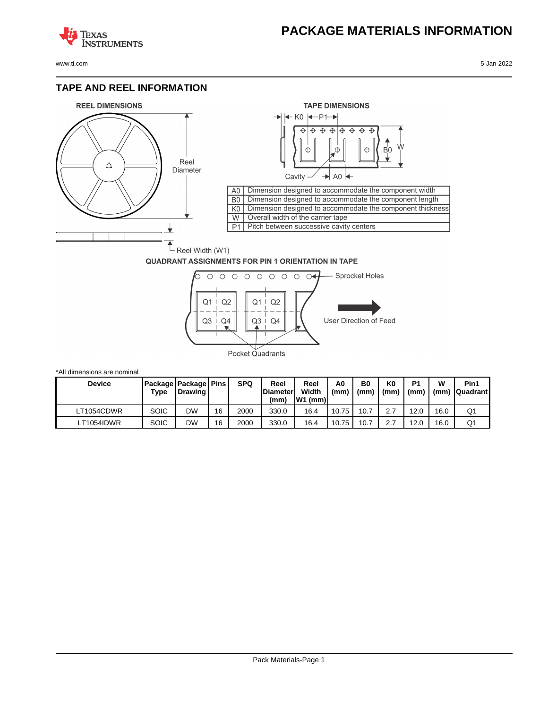## **PACKAGE MATERIALS INFORMATION**

**TEXAS NSTRUMENTS** 

www.ti.com 5-Jan-2022

#### **TAPE AND REEL INFORMATION**





#### **QUADRANT ASSIGNMENTS FOR PIN 1 ORIENTATION IN TAPE**



| *All dimensions are nominal |             |                                              |    |            |                                 |                            |           |            |                        |                        |           |                         |
|-----------------------------|-------------|----------------------------------------------|----|------------|---------------------------------|----------------------------|-----------|------------|------------------------|------------------------|-----------|-------------------------|
| <b>Device</b>               | Type        | Package   Package   Pins  <br><b>Drawing</b> |    | <b>SPQ</b> | Reel<br><b>Diameter</b><br>(mm) | Reel<br>Width<br>$W1$ (mm) | A0<br>(mm | B0<br>(mm) | K <sub>0</sub><br>(mm) | P <sub>1</sub><br>(mm) | w<br>(mm) | Pin1<br><b>Quadrant</b> |
| LT1054CDWR                  | SOIC        | DW                                           | 16 | 2000       | 330.0                           | 16.4                       | 10.75     | 10.7       | 2.7                    | 12.0                   | 16.0      | Q1                      |
| LT1054IDWR                  | <b>SOIC</b> | DW                                           | 16 | 2000       | 330.0                           | 16.4                       | 10.75     | 10.7       | 2.7                    | 12.0                   | 16.0      | Q1                      |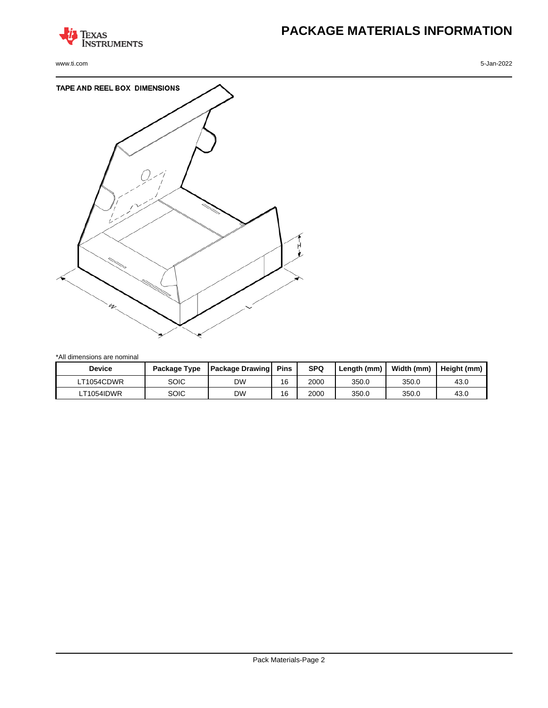

www.ti.com 5-Jan-2022

# **PACKAGE MATERIALS INFORMATION**



\*All dimensions are nominal

| <b>Device</b> | Package Type | <b>Package Drawing</b> | Pins | <b>SPQ</b> | Length (mm) | Width (mm) | Height (mm) |
|---------------|--------------|------------------------|------|------------|-------------|------------|-------------|
| LT1054CDWR    | SOIC         | DW                     | 16   | 2000       | 350.0       | 350.0      | 43.0        |
| LT1054IDWR    | SOIC         | DW                     | 16   | 2000       | 350.0       | 350.0      | 43.0        |